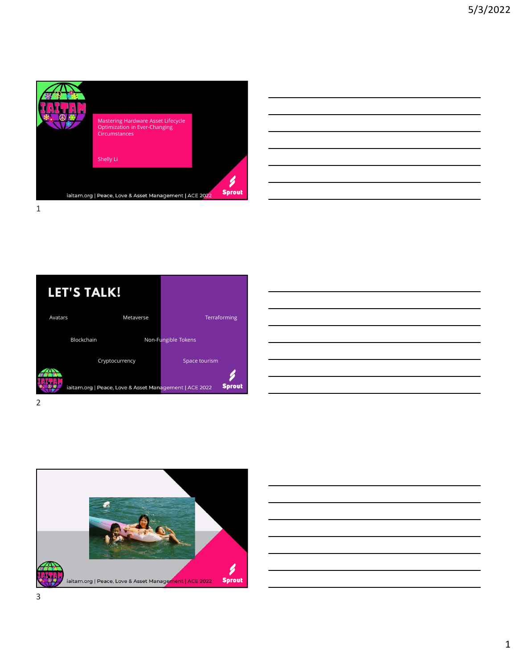

| <u> 1989 - Andrea Andrew Maria (h. 1989).</u>                                                                        |  |  |
|----------------------------------------------------------------------------------------------------------------------|--|--|
| <u> 1989 - Andrea Santa Andrea Santa Andrea Santa Andrea Santa Andrea Santa Andrea Santa Andrea Santa Andrea San</u> |  |  |
| <u> 1989 - Jan Samuel Barbara, margaret eta biztanleria (h. 1989).</u>                                               |  |  |
| <u> 1989 - Andrea Santa Andrea Andrea Andrea Andrea Andrea Andrea Andrea Andrea Andrea Andrea Andrea Andrea Andr</u> |  |  |
| <u> 1989 - Andrea Andrew Maria (h. 1989).</u>                                                                        |  |  |
|                                                                                                                      |  |  |



| <u> 1989 - Johann Stoff, deutscher Stoff, der Stoff, der Stoff, der Stoff, der Stoff, der Stoff, der Stoff, der S</u> |  |  |                                   |
|-----------------------------------------------------------------------------------------------------------------------|--|--|-----------------------------------|
|                                                                                                                       |  |  |                                   |
| the contract of the contract of the contract of the contract of the contract of                                       |  |  |                                   |
| ,我们也不会有什么。""我们的人,我们也不会有什么?""我们的人,我们也不会有什么?""我们的人,我们也不会有什么?""我们的人,我们也不会有什么?""我们的人                                      |  |  |                                   |
|                                                                                                                       |  |  |                                   |
|                                                                                                                       |  |  |                                   |
|                                                                                                                       |  |  |                                   |
| <u> 1989 - Johann Stoff, amerikansk politiker (* 1908)</u>                                                            |  |  | the control of the control of the |



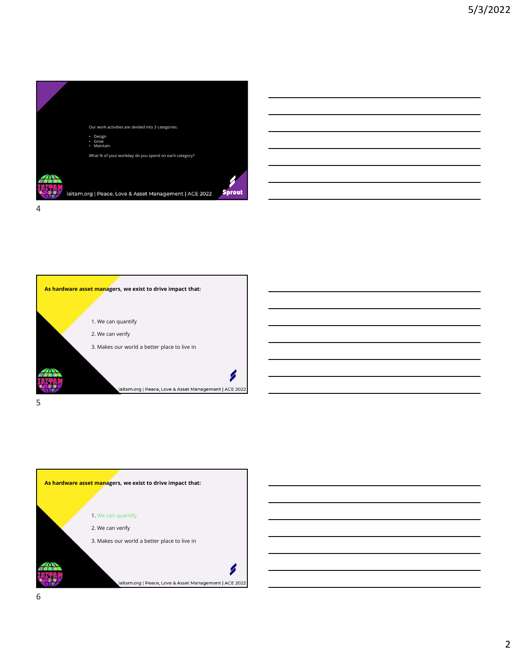



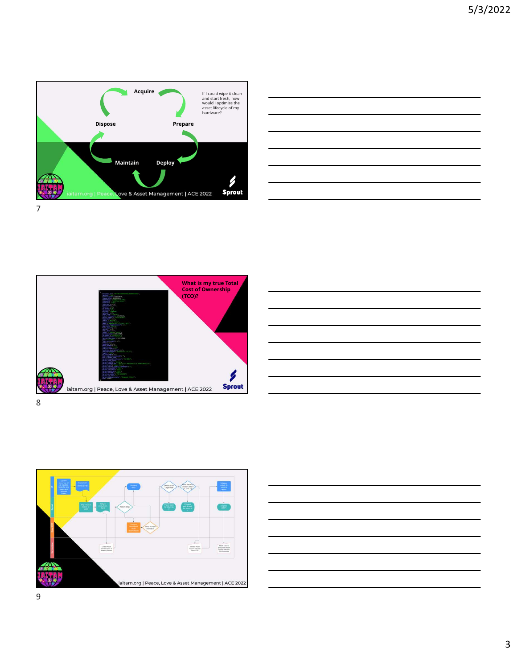

![](_page_2_Figure_2.jpeg)

![](_page_2_Picture_3.jpeg)

![](_page_2_Figure_4.jpeg)

![](_page_2_Figure_5.jpeg)

![](_page_2_Figure_6.jpeg)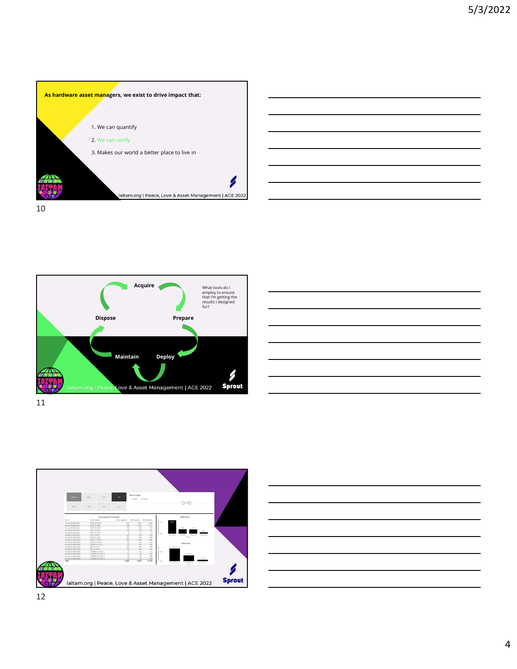![](_page_3_Figure_1.jpeg)

![](_page_3_Figure_2.jpeg)

![](_page_3_Figure_3.jpeg)

11

![](_page_3_Figure_4.jpeg)

![](_page_3_Figure_5.jpeg)

![](_page_3_Figure_6.jpeg)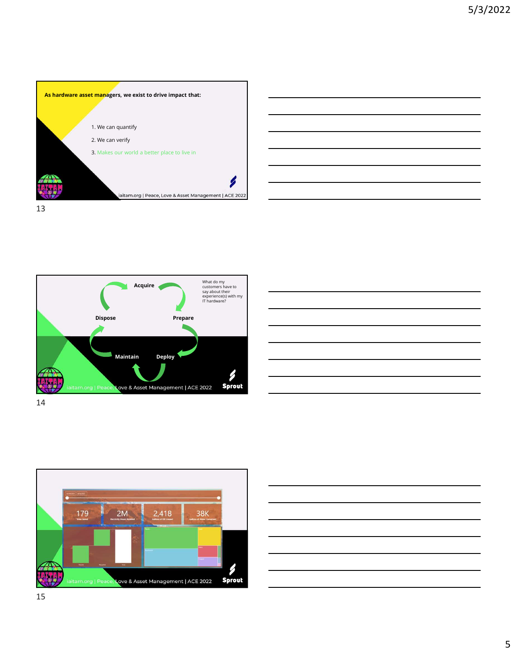![](_page_4_Figure_1.jpeg)

![](_page_4_Figure_2.jpeg)

![](_page_4_Figure_3.jpeg)

![](_page_4_Figure_4.jpeg)

![](_page_4_Figure_5.jpeg)

aitam.org | Peace, Love & Asset Management | ACE 2022

**Sprout** 

![](_page_4_Figure_6.jpeg)